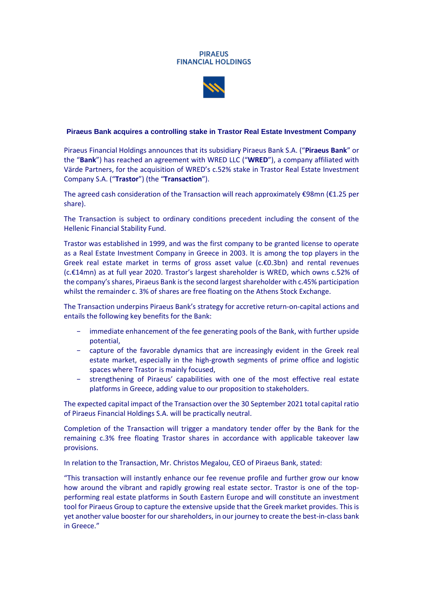### **PIRAEUS FINANCIAL HOLDINGS**



# **Piraeus Bank acquires a controlling stake in Trastor Real Estate Investment Company**

Piraeus Financial Holdings announces that its subsidiary Piraeus Bank S.A. ("**Piraeus Bank**" or the "**Bank**") has reached an agreement with WRED LLC ("**WRED**"), a company affiliated with Värde Partners, for the acquisition of WRED's c.52% stake in Trastor Real Estate Investment Company S.A. ("**Trastor**") (the "**Transaction**").

The agreed cash consideration of the Transaction will reach approximately €98mn (€1.25 per share).

The Transaction is subject to ordinary conditions precedent including the consent of the Hellenic Financial Stability Fund.

Trastor was established in 1999, and was the first company to be granted license to operate as a Real Estate Investment Company in Greece in 2003. It is among the top players in the Greek real estate market in terms of gross asset value (c.€0.3bn) and rental revenues (c.€14mn) as at full year 2020. Trastor's largest shareholder is WRED, which owns c.52% of the company's shares, Piraeus Bank is the second largest shareholder with c.45% participation whilst the remainder c. 3% of shares are free floating on the Athens Stock Exchange.

The Transaction underpins Piraeus Bank's strategy for accretive return-on-capital actions and entails the following key benefits for the Bank:

- immediate enhancement of the fee generating pools of the Bank, with further upside potential,
- − capture of the favorable dynamics that are increasingly evident in the Greek real estate market, especially in the high-growth segments of prime office and logistic spaces where Trastor is mainly focused,
- strengthening of Piraeus' capabilities with one of the most effective real estate platforms in Greece, adding value to our proposition to stakeholders.

The expected capital impact of the Transaction over the 30 September 2021 total capital ratio of Piraeus Financial Holdings S.A. will be practically neutral.

Completion of the Transaction will trigger a mandatory tender offer by the Bank for the remaining c.3% free floating Trastor shares in accordance with applicable takeover law provisions.

In relation to the Transaction, Mr. Christos Megalou, CEO of Piraeus Bank, stated:

"This transaction will instantly enhance our fee revenue profile and further grow our know how around the vibrant and rapidly growing real estate sector. Trastor is one of the topperforming real estate platforms in South Eastern Europe and will constitute an investment tool for Piraeus Group to capture the extensive upside that the Greek market provides. This is yet another value booster for our shareholders, in our journey to create the best-in-class bank in Greece."